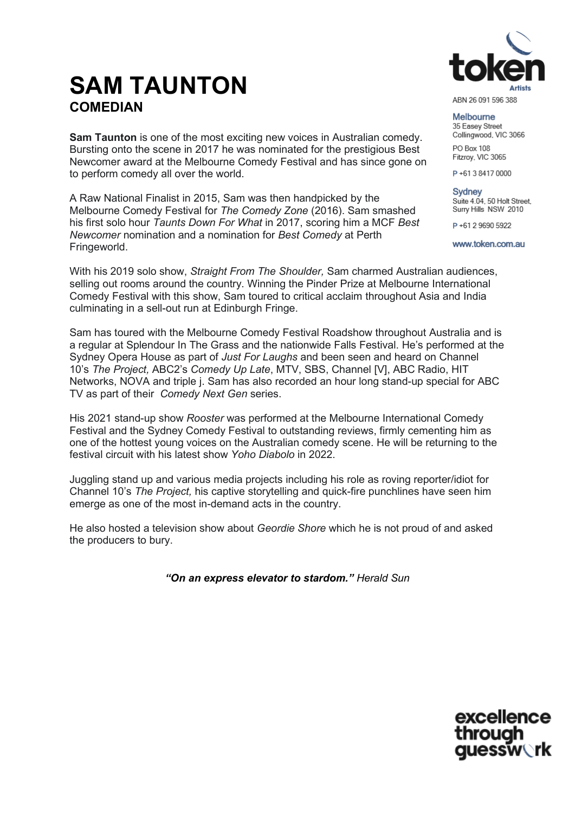# **SAM TAUNTON COMEDIAN**

**Sam Taunton** is one of the most exciting new voices in Australian comedy. Bursting onto the scene in 2017 he was nominated for the prestigious Best Newcomer award at the Melbourne Comedy Festival and has since gone on to perform comedy all over the world.

A Raw National Finalist in 2015, Sam was then handpicked by the Melbourne Comedy Festival for *The Comedy Zone* (2016). Sam smashed his first solo hour *Taunts Down For What* in 2017, scoring him a MCF *Best Newcomer* nomination and a nomination for *Best Comedy* at Perth Fringeworld.

With his 2019 solo show, *Straight From The Shoulder,* Sam charmed Australian audiences, selling out rooms around the country. Winning the Pinder Prize at Melbourne International Comedy Festival with this show, Sam toured to critical acclaim throughout Asia and India culminating in a sell-out run at Edinburgh Fringe.

Sam has toured with the Melbourne Comedy Festival Roadshow throughout Australia and is a regular at Splendour In The Grass and the nationwide Falls Festival. He's performed at the Sydney Opera House as part of *Just For Laughs* and been seen and heard on Channel 10's *The Project,* ABC2's *Comedy Up Late*, MTV, SBS, Channel [V], ABC Radio, HIT Networks, NOVA and triple j. Sam has also recorded an hour long stand-up special for ABC TV as part of their *Comedy Next Gen* series.

His 2021 stand-up show *Rooster* was performed at the Melbourne International Comedy Festival and the Sydney Comedy Festival to outstanding reviews, firmly cementing him as one of the hottest young voices on the Australian comedy scene. He will be returning to the festival circuit with his latest show *Yoho Diabolo* in 2022.

Juggling stand up and various media projects including his role as roving reporter/idiot for Channel 10's *The Project,* his captive storytelling and quick-fire punchlines have seen him emerge as one of the most in-demand acts in the country.

He also hosted a television show about *Geordie Shore* which he is not proud of and asked the producers to bury.

*"On an express elevator to stardom." Herald Sun*



ABN 26 091 596 388

Melbourne 35 Easev Street Collingwood, VIC 3066

PO Box 108 Fitzroy, VIC 3065

P+61384170000

Sydney Suite 4.04, 50 Holt Street, Surry Hills NSW 2010

P+61 2 9690 5922

www.token.com.au

excellence through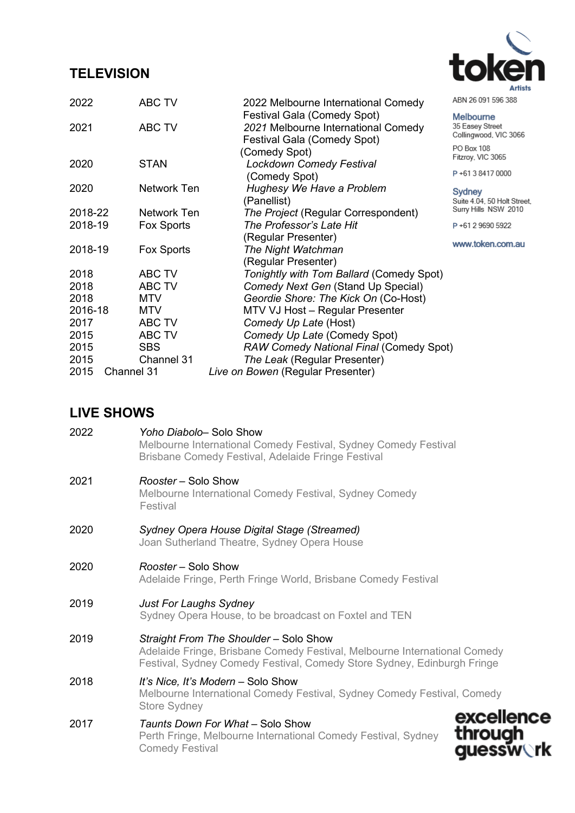# **TELEVISION**



|  | ABN 26 091 596 388 |  |
|--|--------------------|--|

| 2022    | <b>ABC TV</b> | 2022 Melbourne International Comedy      | ABN 26 091 596 388                       |
|---------|---------------|------------------------------------------|------------------------------------------|
|         |               | <b>Festival Gala (Comedy Spot)</b>       | Melbourne                                |
| 2021    | ABC TV        | 2021 Melbourne International Comedy      | 35 Easey Street<br>Collingwood, VIC 3066 |
|         |               | <b>Festival Gala (Comedy Spot)</b>       |                                          |
|         |               | (Comedy Spot)                            | PO Box 108<br>Fitzroy, VIC 3065          |
| 2020    | <b>STAN</b>   | <b>Lockdown Comedy Festival</b>          |                                          |
|         |               | (Comedy Spot)                            | P+61384170000                            |
| 2020    | Network Ten   | Hughesy We Have a Problem                | Sydney                                   |
|         |               | (Panellist)                              | Suite 4.04, 50 Holt Street,              |
| 2018-22 | Network Ten   | The Project (Regular Correspondent)      | Surry Hills NSW 2010                     |
| 2018-19 | Fox Sports    | The Professor's Late Hit                 | P+61 2 9690 5922                         |
|         |               | (Regular Presenter)                      | www.token.com.au                         |
| 2018-19 | Fox Sports    | The Night Watchman                       |                                          |
|         |               | (Regular Presenter)                      |                                          |
| 2018    | ABC TV        | Tonightly with Tom Ballard (Comedy Spot) |                                          |
| 2018    | <b>ABC TV</b> | Comedy Next Gen (Stand Up Special)       |                                          |
| 2018    | <b>MTV</b>    | Geordie Shore: The Kick On (Co-Host)     |                                          |
| 2016-18 | <b>MTV</b>    | MTV VJ Host - Regular Presenter          |                                          |
| 2017    | <b>ABC TV</b> | Comedy Up Late (Host)                    |                                          |
|         |               |                                          |                                          |

2015 Channel 31 *The Leak* (Regular Presenter) 2015 Channel 31 *Live on Bowen* (Regular Presenter)

2015 SBS *RAW Comedy National Final* (Comedy Spot)

2015 ABC TV *Comedy Up Late* (Comedy Spot)

### **LIVE SHOWS**

| 2022 | Yoho Diabolo- Solo Show<br>Melbourne International Comedy Festival, Sydney Comedy Festival<br>Brisbane Comedy Festival, Adelaide Fringe Festival                                               |  |  |
|------|------------------------------------------------------------------------------------------------------------------------------------------------------------------------------------------------|--|--|
| 2021 | Rooster – Solo Show<br>Melbourne International Comedy Festival, Sydney Comedy<br>Festival                                                                                                      |  |  |
| 2020 | Sydney Opera House Digital Stage (Streamed)<br>Joan Sutherland Theatre, Sydney Opera House                                                                                                     |  |  |
| 2020 | Rooster – Solo Show<br>Adelaide Fringe, Perth Fringe World, Brisbane Comedy Festival                                                                                                           |  |  |
| 2019 | <b>Just For Laughs Sydney</b><br>Sydney Opera House, to be broadcast on Foxtel and TEN                                                                                                         |  |  |
| 2019 | Straight From The Shoulder - Solo Show<br>Adelaide Fringe, Brisbane Comedy Festival, Melbourne International Comedy<br>Festival, Sydney Comedy Festival, Comedy Store Sydney, Edinburgh Fringe |  |  |
| 2018 | It's Nice, It's Modern – Solo Show<br>Melbourne International Comedy Festival, Sydney Comedy Festival, Comedy<br><b>Store Sydney</b>                                                           |  |  |
| 2017 | excellence<br>Taunts Down For What - Solo Show<br>through<br>Perth Fringe, Melbourne International Comedy Festival, Sydney<br><b>quessw<b></b>rk</b><br><b>Comedy Festival</b>                 |  |  |
|      |                                                                                                                                                                                                |  |  |